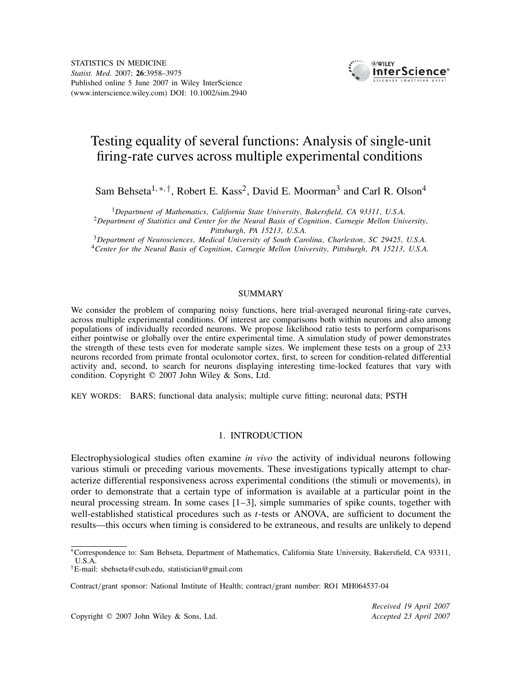

# Testing equality of several functions: Analysis of single-unit firing-rate curves across multiple experimental conditions

Sam Behseta<sup>1,</sup><sup>∗*,*†</sup>, Robert E. Kass<sup>2</sup>, David E. Moorman<sup>3</sup> and Carl R. Olson<sup>4</sup>

 ${}^{1}$ Department of Mathematics, California State University, Bakersfield, CA 93311, U.S.A.<br><sup>2</sup>Department of Statistics and Center for the Neural Basis of Cognition, Carnegie Mellon University,

Pittsburgh, PA 15213, U.S.A.<br><sup>3</sup>Department of Neurosciences, Medical University of South Carolina, Charleston, SC 29425, U.S.A.<br><sup>4</sup>Center for the Neural Basis of Cognition, Carnegie Mellon University, Pittsburgh, PA 15213,

#### SUMMARY

We consider the problem of comparing noisy functions, here trial-averaged neuronal firing-rate curves, across multiple experimental conditions. Of interest are comparisons both within neurons and also among populations of individually recorded neurons. We propose likelihood ratio tests to perform comparisons either pointwise or globally over the entire experimental time. A simulation study of power demonstrates the strength of these tests even for moderate sample sizes. We implement these tests on a group of 233 neurons recorded from primate frontal oculomotor cortex, first, to screen for condition-related differential activity and, second, to search for neurons displaying interesting time-locked features that vary with condition. Copyright  $\odot$  2007 John Wiley & Sons, Ltd.

KEY WORDS: BARS; functional data analysis; multiple curve fitting; neuronal data; PSTH

#### 1. INTRODUCTION

Electrophysiological studies often examine *in vivo* the activity of individual neurons following various stimuli or preceding various movements. These investigations typically attempt to characterize differential responsiveness across experimental conditions (the stimuli or movements), in order to demonstrate that a certain type of information is available at a particular point in the neural processing stream. In some cases [1–3], simple summaries of spike counts, together with well-established statistical procedures such as *t*-tests or ANOVA, are sufficient to document the results—this occurs when timing is considered to be extraneous, and results are unlikely to depend

Copyright q 2007 John Wiley & Sons, Ltd. *Accepted 23 April 2007*

*Received 19 April 2007*

<sup>∗</sup>Correspondence to: Sam Behseta, Department of Mathematics, California State University, Bakersfield, CA 93311, U.S.A.

*<sup>†</sup>*E-mail: sbehseta@csub.edu, statistician@gmail.com

Contract*/*grant sponsor: National Institute of Health; contract*/*grant number: RO1 MH064537-04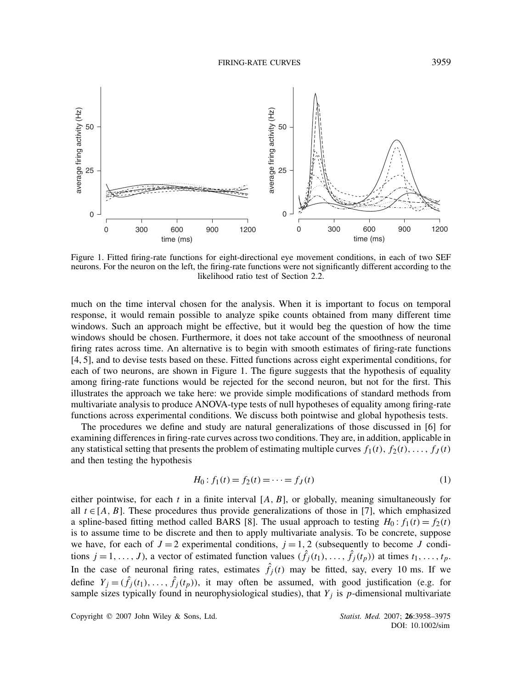

Figure 1. Fitted firing-rate functions for eight-directional eye movement conditions, in each of two SEF neurons. For the neuron on the left, the firing-rate functions were not significantly different according to the likelihood ratio test of Section 2.2.

much on the time interval chosen for the analysis. When it is important to focus on temporal response, it would remain possible to analyze spike counts obtained from many different time windows. Such an approach might be effective, but it would beg the question of how the time windows should be chosen. Furthermore, it does not take account of the smoothness of neuronal firing rates across time. An alternative is to begin with smooth estimates of firing-rate functions [4, 5], and to devise tests based on these. Fitted functions across eight experimental conditions, for each of two neurons, are shown in Figure 1. The figure suggests that the hypothesis of equality among firing-rate functions would be rejected for the second neuron, but not for the first. This illustrates the approach we take here: we provide simple modifications of standard methods from multivariate analysis to produce ANOVA-type tests of null hypotheses of equality among firing-rate functions across experimental conditions. We discuss both pointwise and global hypothesis tests.

The procedures we define and study are natural generalizations of those discussed in [6] for examining differences in firing-rate curves across two conditions. They are, in addition, applicable in any statistical setting that presents the problem of estimating multiple curves  $f_1(t), f_2(t), \ldots, f_J(t)$ and then testing the hypothesis

$$
H_0: f_1(t) = f_2(t) = \dots = f_J(t)
$$
\n(1)

either pointwise, for each  $t$  in a finite interval  $[A, B]$ , or globally, meaning simultaneously for all  $t \in [A, B]$ . These procedures thus provide generalizations of those in [7], which emphasized a spline-based fitting method called BARS [8]. The usual approach to testing  $H_0: f_1(t) = f_2(t)$ is to assume time to be discrete and then to apply multivariate analysis. To be concrete, suppose we have, for each of  $J = 2$  experimental conditions,  $j = 1, 2$  (subsequently to become *J* conditions  $j = 1, ..., J$ , a vector of estimated function values  $(\hat{f}_i(t_1), ..., \hat{f}_i(t_p))$  at times  $t_1, ..., t_p$ . In the case of neuronal firing rates, estimates  $\hat{f}_j(t)$  may be fitted, say, every 10 ms. If we define  $Y_j = (\hat{f}_j(t_1), \dots, \hat{f}_j(t_p))$ , it may often be assumed, with good justification (e.g. for sample sizes typically found in neurophysiological studies), that *Yj* is *p*-dimensional multivariate

Copyright q 2007 John Wiley & Sons, Ltd. *Statist. Med.* 2007; **26**:3958–3975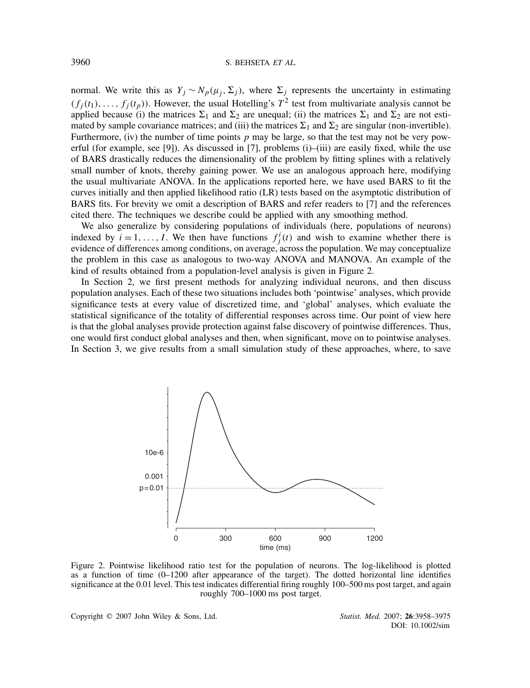normal. We write this as  $Y_i \sim N_p(\mu_i, \Sigma_i)$ , where  $\Sigma_i$  represents the uncertainty in estimating  $(f_i(t_1), \ldots, f_i(t_p))$ . However, the usual Hotelling's  $T^2$  test from multivariate analysis cannot be applied because (i) the matrices  $\Sigma_1$  and  $\Sigma_2$  are unequal; (ii) the matrices  $\Sigma_1$  and  $\Sigma_2$  are not estimated by sample covariance matrices; and (iii) the matrices  $\Sigma_1$  and  $\Sigma_2$  are singular (non-invertible). Furthermore, (iv) the number of time points  $p$  may be large, so that the test may not be very powerful (for example, see [9]). As discussed in [7], problems (i)–(iii) are easily fixed, while the use of BARS drastically reduces the dimensionality of the problem by fitting splines with a relatively small number of knots, thereby gaining power. We use an analogous approach here, modifying the usual multivariate ANOVA. In the applications reported here, we have used BARS to fit the curves initially and then applied likelihood ratio (LR) tests based on the asymptotic distribution of BARS fits. For brevity we omit a description of BARS and refer readers to [7] and the references cited there. The techniques we describe could be applied with any smoothing method.

We also generalize by considering populations of individuals (here, populations of neurons) indexed by  $i = 1, ..., I$ . We then have functions  $f_j^i(t)$  and wish to examine whether there is evidence of differences among conditions, on average, across the population. We may conceptualize the problem in this case as analogous to two-way ANOVA and MANOVA. An example of the kind of results obtained from a population-level analysis is given in Figure 2.

In Section 2, we first present methods for analyzing individual neurons, and then discuss population analyses. Each of these two situations includes both 'pointwise' analyses, which provide significance tests at every value of discretized time, and 'global' analyses, which evaluate the statistical significance of the totality of differential responses across time. Our point of view here is that the global analyses provide protection against false discovery of pointwise differences. Thus, one would first conduct global analyses and then, when significant, move on to pointwise analyses. In Section 3, we give results from a small simulation study of these approaches, where, to save



Figure 2. Pointwise likelihood ratio test for the population of neurons. The log-likelihood is plotted as a function of time (0–1200 after appearance of the target). The dotted horizontal line identifies significance at the 0.01 level. This test indicates differential firing roughly 100–500 ms post target, and again roughly 700–1000 ms post target.

Copyright q 2007 John Wiley & Sons, Ltd. *Statist. Med.* 2007; **26**:3958–3975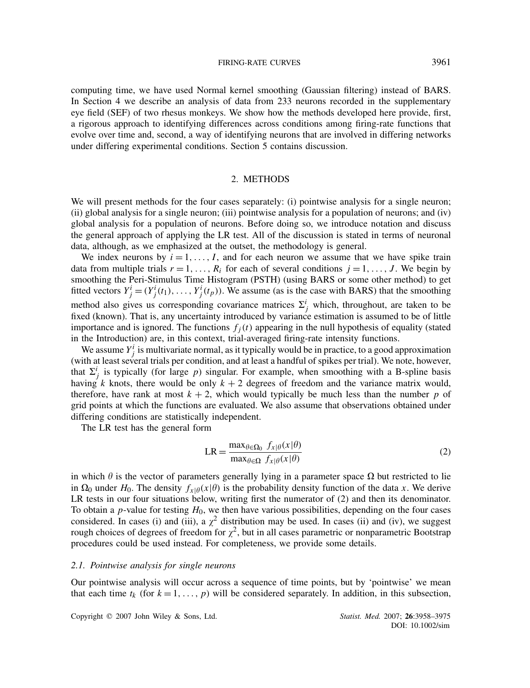#### FIRING-RATE CURVES 3961

computing time, we have used Normal kernel smoothing (Gaussian filtering) instead of BARS. In Section 4 we describe an analysis of data from 233 neurons recorded in the supplementary eye field (SEF) of two rhesus monkeys. We show how the methods developed here provide, first, a rigorous approach to identifying differences across conditions among firing-rate functions that evolve over time and, second, a way of identifying neurons that are involved in differing networks under differing experimental conditions. Section 5 contains discussion.

#### 2. METHODS

We will present methods for the four cases separately: (i) pointwise analysis for a single neuron; (ii) global analysis for a single neuron; (iii) pointwise analysis for a population of neurons; and (iv) global analysis for a population of neurons. Before doing so, we introduce notation and discuss the general approach of applying the LR test. All of the discussion is stated in terms of neuronal data, although, as we emphasized at the outset, the methodology is general.

We index neurons by  $i = 1, \ldots, I$ , and for each neuron we assume that we have spike train data from multiple trials  $r = 1, \ldots, R_i$  for each of several conditions  $j = 1, \ldots, J$ . We begin by smoothing the Peri-Stimulus Time Histogram (PSTH) (using BARS or some other method) to get fitted vectors  $Y_j^i = (Y_j^i(t_1), \dots, Y_j^i(t_p))$ . We assume (as is the case with BARS) that the smoothing method also gives us corresponding covariance matrices  $\Sigma^i_j$  which, throughout, are taken to be fixed (known). That is, any uncertainty introduced by variance estimation is assumed to be of little importance and is ignored. The functions  $f_i(t)$  appearing in the null hypothesis of equality (stated in the Introduction) are, in this context, trial-averaged firing-rate intensity functions.

We assume  $Y_j^i$  is multivariate normal, as it typically would be in practice, to a good approximation (with at least several trials per condition, and at least a handful of spikes per trial). We note, however, that  $\Sigma_j^i$  is typically (for large *p*) singular. For example, when smoothing with a B-spline basis having *k* knots, there would be only  $k + 2$  degrees of freedom and the variance matrix would, therefore, have rank at most  $k + 2$ , which would typically be much less than the number p of grid points at which the functions are evaluated. We also assume that observations obtained under differing conditions are statistically independent.

The LR test has the general form

$$
LR = \frac{\max_{\theta \in \Omega_0} f_{x|\theta}(x|\theta)}{\max_{\theta \in \Omega} f_{x|\theta}(x|\theta)}
$$
(2)

in which  $\theta$  is the vector of parameters generally lying in a parameter space  $\Omega$  but restricted to lie in  $\Omega_0$  under  $H_0$ . The density  $f_{x|\theta}(x|\theta)$  is the probability density function of the data *x*. We derive LR tests in our four situations below, writing first the numerator of (2) and then its denominator. To obtain a *p*-value for testing *H*0, we then have various possibilities, depending on the four cases considered. In cases (i) and (iii), a  $\chi^2$  distribution may be used. In cases (ii) and (iv), we suggest rough choices of degrees of freedom for  $\chi^2$ , but in all cases parametric or nonparametric Bootstrap procedures could be used instead. For completeness, we provide some details.

#### *2.1. Pointwise analysis for single neurons*

Our pointwise analysis will occur across a sequence of time points, but by 'pointwise' we mean that each time  $t_k$  (for  $k = 1, \ldots, p$ ) will be considered separately. In addition, in this subsection,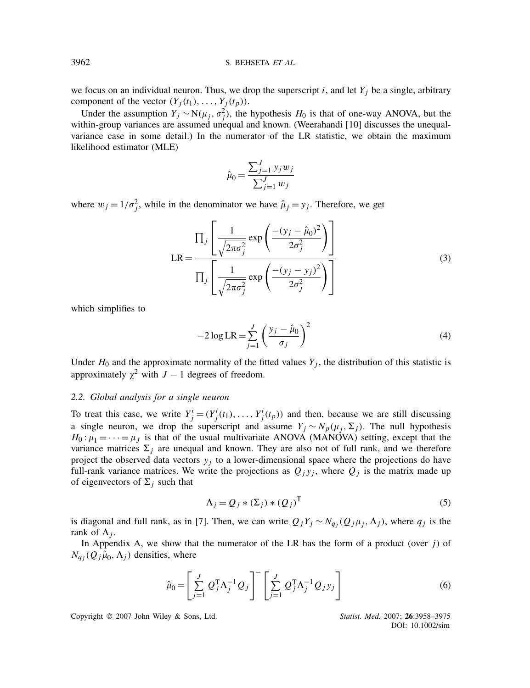we focus on an individual neuron. Thus, we drop the superscript  $i$ , and let  $Y_i$  be a single, arbitrary component of the vector  $(Y_j(t_1), \ldots, Y_j(t_p))$ .

Under the assumption  $Y_j$  ∼ N( $\mu_j$ ,  $\sigma_j^2$ ), the hypothesis  $H_0$  is that of one-way ANOVA, but the within-group variances are assumed unequal and known. (Weerahandi [10] discusses the unequalvariance case in some detail.) In the numerator of the LR statistic, we obtain the maximum likelihood estimator (MLE)

$$
\hat{\mu}_0 = \frac{\sum_{j=1}^J y_j w_j}{\sum_{j=1}^J w_j}
$$

where  $w_j = 1/\sigma_j^2$ , while in the denominator we have  $\hat{\mu}_j = y_j$ . Therefore, we get

$$
LR = \frac{\prod_{j} \left[ \frac{1}{\sqrt{2\pi\sigma_j^2}} \exp\left(\frac{-(y_j - \hat{\mu}_0)^2}{2\sigma_j^2}\right) \right]}{\prod_{j} \left[ \frac{1}{\sqrt{2\pi\sigma_j^2}} \exp\left(\frac{-(y_j - y_j)^2}{2\sigma_j^2}\right) \right]}
$$
(3)

which simplifies to

$$
-2\log LR = \sum_{j=1}^{J} \left(\frac{y_j - \hat{\mu}_0}{\sigma_j}\right)^2
$$
 (4)

Under  $H_0$  and the approximate normality of the fitted values  $Y_j$ , the distribution of this statistic is approximately  $\chi^2$  with *J* − 1 degrees of freedom.

## *2.2. Global analysis for a single neuron*

To treat this case, we write  $Y_j^i = (Y_j^i(t_1), \dots, Y_j^i(t_p))$  and then, because we are still discussing a single neuron, we drop the superscript and assume  $Y_j \sim N_p(\mu_j, \Sigma_j)$ . The null hypothesis  $H_0: \mu_1 = \cdots = \mu_I$  is that of the usual multivariate ANOVA (MANOVA) setting, except that the variance matrices  $\Sigma_i$  are unequal and known. They are also not of full rank, and we therefore project the observed data vectors  $y_i$  to a lower-dimensional space where the projections do have full-rank variance matrices. We write the projections as  $Q_j y_j$ , where  $Q_j$  is the matrix made up of eigenvectors of  $\Sigma_i$  such that

$$
\Lambda_j = Q_j * (\Sigma_j) * (Q_j)^{\mathrm{T}}
$$
\n(5)

is diagonal and full rank, as in [7]. Then, we can write  $Q_iY_i \sim N_{q_i}(Q_i\mu_i, \Lambda_i)$ , where  $q_i$  is the rank of  $\Lambda_i$ .

In Appendix A, we show that the numerator of the LR has the form of a product (over *j*) of  $N_{q_i}(Q_j)\hat{\mu}_0, \Lambda_j)$  densities, where

$$
\hat{\mu}_0 = \left[ \sum_{j=1}^J Q_j^{\mathrm{T}} \Lambda_j^{-1} Q_j \right]^{-} \left[ \sum_{j=1}^J Q_j^{\mathrm{T}} \Lambda_j^{-1} Q_j y_j \right]
$$
\n(6)

Copyright q 2007 John Wiley & Sons, Ltd. *Statist. Med.* 2007; **26**:3958–3975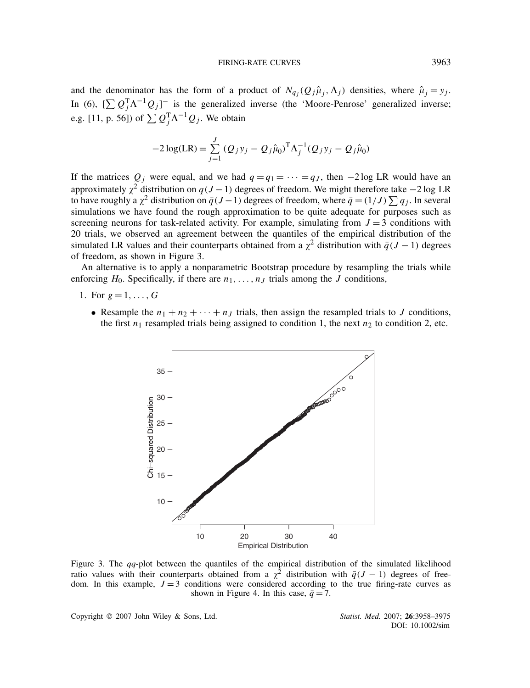and the denominator has the form of a product of  $N_{q_i}(Q_j\hat{\mu}_j,\Lambda_j)$  densities, where  $\hat{\mu}_j = y_j$ . In (6),  $[\sum Q_j^T \Lambda^{-1} Q_j]$ <sup>-</sup> is the generalized inverse (the 'Moore-Penrose' generalized inverse; e.g. [11, p. 56]) of  $\sum Q_j^{\text{T}} \Lambda^{-1} Q_j$ . We obtain

$$
-2\log(\text{LR}) = \sum_{j=1}^{J} (Q_j y_j - Q_j \hat{\mu}_0)^{\text{T}} \Lambda_j^{-1} (Q_j y_j - Q_j \hat{\mu}_0)
$$

If the matrices  $Q_i$  were equal, and we had  $q = q_1 = \cdots = q_J$ , then  $-2 \log LR$  would have an approximately  $\chi^2$  distribution on  $q(J-1)$  degrees of freedom. We might therefore take −2 log LR to have roughly a  $\chi^2$  distribution on  $\bar{q}(J-1)$  degrees of freedom, where  $\bar{q} = (1/J) \sum q_j$ . In several simulations we have found the rough approximation to be quite adequate for purposes such as screening neurons for task-related activity. For example, simulating from  $J = 3$  conditions with 20 trials, we observed an agreement between the quantiles of the empirical distribution of the simulated LR values and their counterparts obtained from a  $\chi^2$  distribution with  $\bar{q}(J-1)$  degrees of freedom, as shown in Figure 3.

An alternative is to apply a nonparametric Bootstrap procedure by resampling the trials while enforcing  $H_0$ . Specifically, if there are  $n_1, \ldots, n_J$  trials among the *J* conditions,

- 1. For  $g = 1, \ldots, G$ 
	- Resample the  $n_1 + n_2 + \cdots + n_J$  trials, then assign the resampled trials to *J* conditions, the first  $n_1$  resampled trials being assigned to condition 1, the next  $n_2$  to condition 2, etc.



Figure 3. The *qq*-plot between the quantiles of the empirical distribution of the simulated likelihood ratio values with their counterparts obtained from a  $\chi^2$  distribution with  $\bar{q}(J - 1)$  degrees of freedom. In this example,  $J = 3$  conditions were considered according to the true firing-rate curves as shown in Figure 4. In this case,  $\bar{q} = 7$ .

Copyright q 2007 John Wiley & Sons, Ltd. *Statist. Med.* 2007; **26**:3958–3975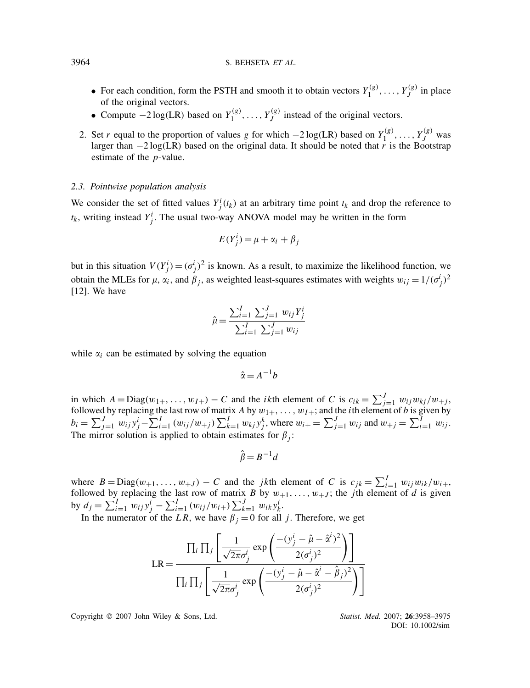- For each condition, form the PSTH and smooth it to obtain vectors  $Y_1^{(g)}, \ldots, Y_J^{(g)}$  in place of the original vectors.
- Compute  $-2 \log(LR)$  based on  $Y_1^{(g)}, \ldots, Y_J^{(g)}$  instead of the original vectors.
- 2. Set *r* equal to the proportion of values *g* for which  $-2 \log(LR)$  based on  $Y_1^{(g)}, \ldots, Y_J^{(g)}$  was larger than −2 log*(*LR*)* based on the original data. It should be noted that *r* is the Bootstrap estimate of the *p*-value.

#### *2.3. Pointwise population analysis*

We consider the set of fitted values  $Y^i_j(t_k)$  at an arbitrary time point  $t_k$  and drop the reference to  $t_k$ , writing instead  $Y^i_j$ . The usual two-way ANOVA model may be written in the form

$$
E(Y_j^i) = \mu + \alpha_i + \beta_j
$$

but in this situation  $V(Y_j^i) = (\sigma_j^i)^2$  is known. As a result, to maximize the likelihood function, we obtain the MLEs for  $\mu$ ,  $\alpha_i$ , and  $\beta_j$ , as weighted least-squares estimates with weights  $w_{ij} = 1/(\sigma_j^i)^2$ [12]. We have

$$
\hat{\mu} = \frac{\sum_{i=1}^{I} \sum_{j=1}^{J} w_{ij} Y_j^i}{\sum_{i=1}^{I} \sum_{j=1}^{J} w_{ij}}
$$

while  $\alpha_i$  can be estimated by solving the equation

$$
\hat{\alpha} = A^{-1}b
$$

in which  $A = \text{Diag}(w_{1+}, \ldots, w_{I+}) - C$  and the *ik*th element of *C* is  $c_{ik} = \sum_{j=1}^{J} w_{ij} w_{kj} / w_{+j}$ , followed by replacing the last row of matrix *A* by  $w_{1+}, \ldots, w_{I+}$ ; and the *i*th element of *b* is given by  $b_i = \sum_{j=1}^{J} w_{ij} y_j^i - \sum_{i=1}^{I} (w_{ij}/w_{+j}) \sum_{k=1}^{I} w_{kj} y_j^k$ , where  $w_{i+} = \sum_{j=1}^{J} w_{ij}$  and  $w_{+j} = \sum_{i=1}^{I} w_{ij}$ . The mirror solution is applied to obtain estimates for  $\beta_i$ :

$$
\hat{\beta} = B^{-1}d
$$

where  $B = \text{Diag}(w_{+1}, \ldots, w_{+J}) - C$  and the *jk*th element of *C* is  $c_{jk} = \sum_{i=1}^{I} w_{ij} w_{ik}/w_{i+1}$ followed by replacing the last row of matrix *B* by  $w_{+1}, \ldots, w_{+J}$ ; the *j*th element of *d* is given  $\sum_{i=1}^{I} w_{ij} y_{j}^{i} - \sum_{i=1}^{I} (w_{ij}/w_{i+}) \sum_{k=1}^{J} w_{ik} y_{k}^{i}$ .

In the numerator of the *LR*, we have  $\beta_i = 0$  for all *j*. Therefore, we get

$$
LR = \frac{\prod_i \prod_j \left[ \frac{1}{\sqrt{2\pi}\sigma_j^i} \exp\left(\frac{-(y_j^i - \hat{\mu} - \hat{\alpha}^i)^2}{2(\sigma_j^i)^2}\right) \right]}{\prod_i \prod_j \left[ \frac{1}{\sqrt{2\pi}\sigma_j^i} \exp\left(\frac{-(y_j^i - \hat{\mu} - \hat{\alpha}^i - \hat{\beta}_j)^2}{2(\sigma_j^i)^2}\right) \right]}
$$

Copyright q 2007 John Wiley & Sons, Ltd. *Statist. Med.* 2007; **26**:3958–3975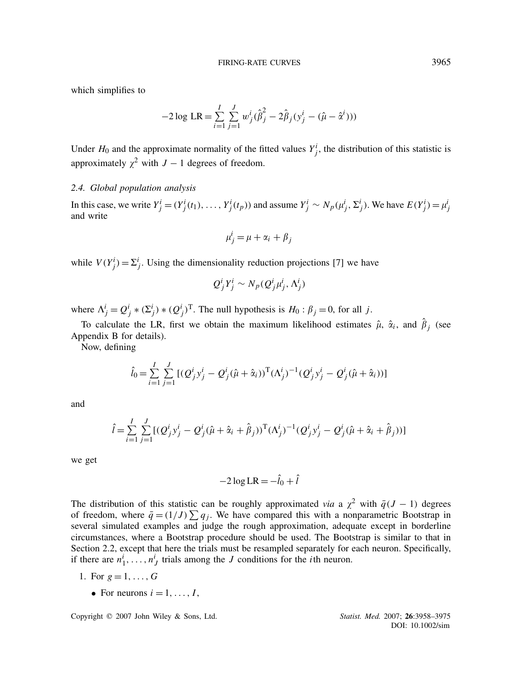which simplifies to

$$
-2 \log LR = \sum_{i=1}^{I} \sum_{j=1}^{J} w_j^{i} (\hat{\beta}_j^2 - 2\hat{\beta}_j (y_j^{i} - (\hat{\mu} - \hat{\alpha}^{i})))
$$

Under  $H_0$  and the approximate normality of the fitted values  $Y^i_j$ , the distribution of this statistic is approximately  $\chi^2$  with *J* − 1 degrees of freedom.

## *2.4. Global population analysis*

In this case, we write  $Y_j^i = (Y_j^i(t_1), \dots, Y_j^i(t_p))$  and assume  $Y_j^i \sim N_p(\mu_j^i, \Sigma_j^i)$ . We have  $E(Y_j^i) = \mu_j^i$ and write

$$
\mu_j^i = \mu + \alpha_i + \beta_j
$$

while  $V(Y_j^i) = \sum_j^i$ . Using the dimensionality reduction projections [7] we have

$$
Q_j^i Y_j^i \sim N_p(Q_j^i \mu_j^i, \Lambda_j^i)
$$

where  $\Lambda^i_j = Q^i_j * (\Sigma^i_j) * (Q^i_j)^T$ . The null hypothesis is  $H_0 : \beta_j = 0$ , for all *j*.

To calculate the LR, first we obtain the maximum likelihood estimates  $\hat{\mu}$ ,  $\hat{\alpha}_i$ , and  $\hat{\beta}_i$  (see Appendix B for details).

Now, defining

$$
\hat{l}_0 = \sum_{i=1}^{I} \sum_{j=1}^{J} [ (Q^i_j y^i_j - Q^i_j (\hat{\mu} + \hat{\alpha}_i))^{\mathrm{T}} (\Lambda^i_j)^{-1} (Q^i_j y^i_j - Q^i_j (\hat{\mu} + \hat{\alpha}_i)) ]
$$

and

$$
\hat{l} = \sum_{i=1}^{I} \sum_{j=1}^{J} [(\mathcal{Q}_{j}^{i} y_{j}^{i} - \mathcal{Q}_{j}^{i} (\hat{\mu} + \hat{\alpha}_{i} + \hat{\beta}_{j}))^{\mathrm{T}} (\Lambda_{j}^{i})^{-1} (\mathcal{Q}_{j}^{i} y_{j}^{i} - \mathcal{Q}_{j}^{i} (\hat{\mu} + \hat{\alpha}_{i} + \hat{\beta}_{j}))]
$$

we get

$$
-2\log LR = -\hat{l}_0 + \hat{l}
$$

The distribution of this statistic can be roughly approximated *via* a  $\chi^2$  with  $\bar{q}(J - 1)$  degrees of freedom, where  $\bar{q} = (1/J) \sum q_j$ . We have compared this with a nonparametric Bootstrap in several simulated examples and judge the rough approximation, adequate except in borderline circumstances, where a Bootstrap procedure should be used. The Bootstrap is similar to that in Section 2.2, except that here the trials must be resampled separately for each neuron. Specifically, if there are  $n_1^i, \ldots, n_J^i$  trials among the *J* conditions for the *i*th neuron.

- 1. For  $g = 1, \ldots, G$ 
	- For neurons  $i = 1, \ldots, I$ ,

Copyright q 2007 John Wiley & Sons, Ltd. *Statist. Med.* 2007; **26**:3958–3975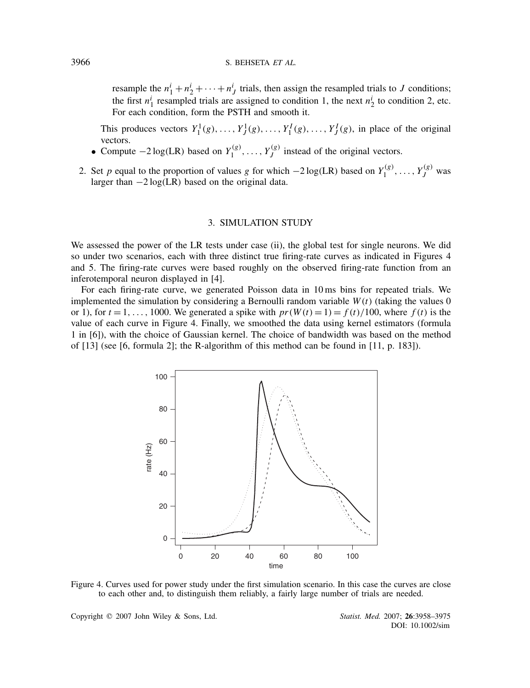resample the  $n_1^i + n_2^i + \cdots + n_J^i$  trials, then assign the resampled trials to *J* conditions; the first  $n_1^i$  resampled trials are assigned to condition 1, the next  $n_2^i$  to condition 2, etc. For each condition, form the PSTH and smooth it.

This produces vectors  $Y_1^1(g), \ldots, Y_J^1(g), \ldots, Y_I^I(g), \ldots, Y_J^I(g)$ , in place of the original vectors.

- Compute  $-2 \log(LR)$  based on  $Y_1^{(g)}, \ldots, Y_J^{(g)}$  instead of the original vectors.
- 2. Set *p* equal to the proportion of values *g* for which −2 log(LR) based on  $Y_1^{(g)}, \ldots, Y_J^{(g)}$  was larger than −2 log*(*LR*)* based on the original data.

## 3. SIMULATION STUDY

We assessed the power of the LR tests under case (ii), the global test for single neurons. We did so under two scenarios, each with three distinct true firing-rate curves as indicated in Figures 4 and 5. The firing-rate curves were based roughly on the observed firing-rate function from an inferotemporal neuron displayed in [4].

For each firing-rate curve, we generated Poisson data in 10 ms bins for repeated trials. We implemented the simulation by considering a Bernoulli random variable *W(t)* (taking the values 0 or 1), for  $t = 1, \ldots, 1000$ . We generated a spike with  $pr(W(t) = 1) = f(t)/100$ , where  $f(t)$  is the value of each curve in Figure 4. Finally, we smoothed the data using kernel estimators (formula 1 in [6]), with the choice of Gaussian kernel. The choice of bandwidth was based on the method of [13] (see [6, formula 2]; the R-algorithm of this method can be found in [11, p. 183]).



Figure 4. Curves used for power study under the first simulation scenario. In this case the curves are close to each other and, to distinguish them reliably, a fairly large number of trials are needed.

Copyright q 2007 John Wiley & Sons, Ltd. *Statist. Med.* 2007; **26**:3958–3975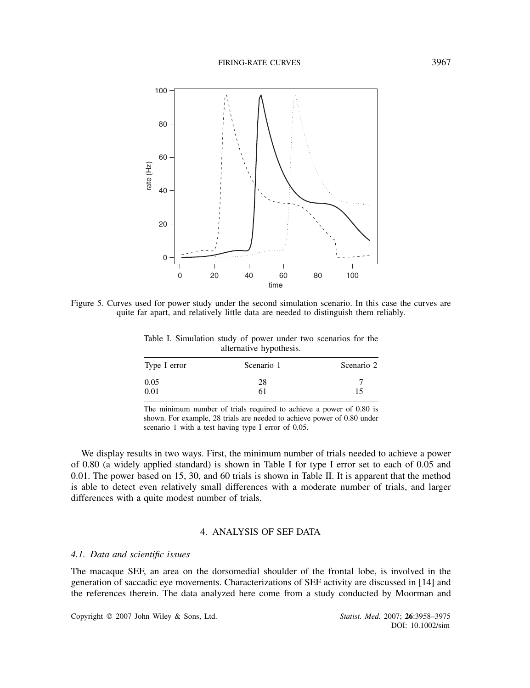

Figure 5. Curves used for power study under the second simulation scenario. In this case the curves are quite far apart, and relatively little data are needed to distinguish them reliably.

Table I. Simulation study of power under two scenarios for the alternative hypothesis.

| Type I error | Scenario 1 | Scenario 2 |  |
|--------------|------------|------------|--|
| 0.05         | 28         |            |  |
| 0.01         | 61         | 15         |  |

The minimum number of trials required to achieve a power of 0.80 is shown. For example, 28 trials are needed to achieve power of 0.80 under scenario 1 with a test having type I error of 0.05.

We display results in two ways. First, the minimum number of trials needed to achieve a power of 0.80 (a widely applied standard) is shown in Table I for type I error set to each of 0.05 and 0.01. The power based on 15, 30, and 60 trials is shown in Table II. It is apparent that the method is able to detect even relatively small differences with a moderate number of trials, and larger differences with a quite modest number of trials.

## 4. ANALYSIS OF SEF DATA

#### *4.1. Data and scientific issues*

The macaque SEF, an area on the dorsomedial shoulder of the frontal lobe, is involved in the generation of saccadic eye movements. Characterizations of SEF activity are discussed in [14] and the references therein. The data analyzed here come from a study conducted by Moorman and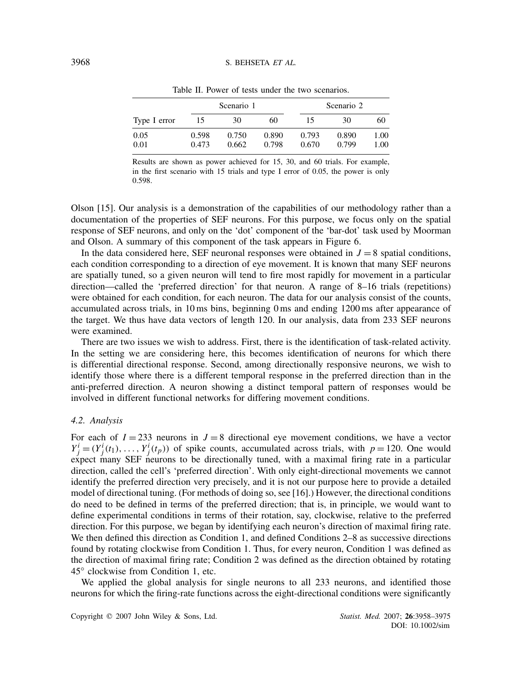|              | Scenario 1     |                |                | Scenario 2     |                |              |
|--------------|----------------|----------------|----------------|----------------|----------------|--------------|
| Type I error | 15             | 30             | 60             | 15             | 30             | 60           |
| 0.05<br>0.01 | 0.598<br>0.473 | 0.750<br>0.662 | 0.890<br>0.798 | 0.793<br>0.670 | 0.890<br>0.799 | 1.00<br>1.00 |

Table II. Power of tests under the two scenarios.

Results are shown as power achieved for 15, 30, and 60 trials. For example, in the first scenario with 15 trials and type I error of 0.05, the power is only 0.598.

Olson [15]. Our analysis is a demonstration of the capabilities of our methodology rather than a documentation of the properties of SEF neurons. For this purpose, we focus only on the spatial response of SEF neurons, and only on the 'dot' component of the 'bar-dot' task used by Moorman and Olson. A summary of this component of the task appears in Figure 6.

In the data considered here, SEF neuronal responses were obtained in  $J = 8$  spatial conditions, each condition corresponding to a direction of eye movement. It is known that many SEF neurons are spatially tuned, so a given neuron will tend to fire most rapidly for movement in a particular direction—called the 'preferred direction' for that neuron. A range of 8–16 trials (repetitions) were obtained for each condition, for each neuron. The data for our analysis consist of the counts, accumulated across trials, in 10 ms bins, beginning 0 ms and ending 1200 ms after appearance of the target. We thus have data vectors of length 120. In our analysis, data from 233 SEF neurons were examined.

There are two issues we wish to address. First, there is the identification of task-related activity. In the setting we are considering here, this becomes identification of neurons for which there is differential directional response. Second, among directionally responsive neurons, we wish to identify those where there is a different temporal response in the preferred direction than in the anti-preferred direction. A neuron showing a distinct temporal pattern of responses would be involved in different functional networks for differing movement conditions.

## *4.2. Analysis*

For each of  $I = 233$  neurons in  $J = 8$  directional eye movement conditions, we have a vector  $Y^i_j = (Y^i_j(t_1), \dots, Y^i_j(t_p))$  of spike counts, accumulated across trials, with  $p = 120$ . One would expect many SEF neurons to be directionally tuned, with a maximal firing rate in a particular direction, called the cell's 'preferred direction'. With only eight-directional movements we cannot identify the preferred direction very precisely, and it is not our purpose here to provide a detailed model of directional tuning. (For methods of doing so, see [16].) However, the directional conditions do need to be defined in terms of the preferred direction; that is, in principle, we would want to define experimental conditions in terms of their rotation, say, clockwise, relative to the preferred direction. For this purpose, we began by identifying each neuron's direction of maximal firing rate. We then defined this direction as Condition 1, and defined Conditions 2–8 as successive directions found by rotating clockwise from Condition 1. Thus, for every neuron, Condition 1 was defined as the direction of maximal firing rate; Condition 2 was defined as the direction obtained by rotating 45◦ clockwise from Condition 1, etc.

We applied the global analysis for single neurons to all 233 neurons, and identified those neurons for which the firing-rate functions across the eight-directional conditions were significantly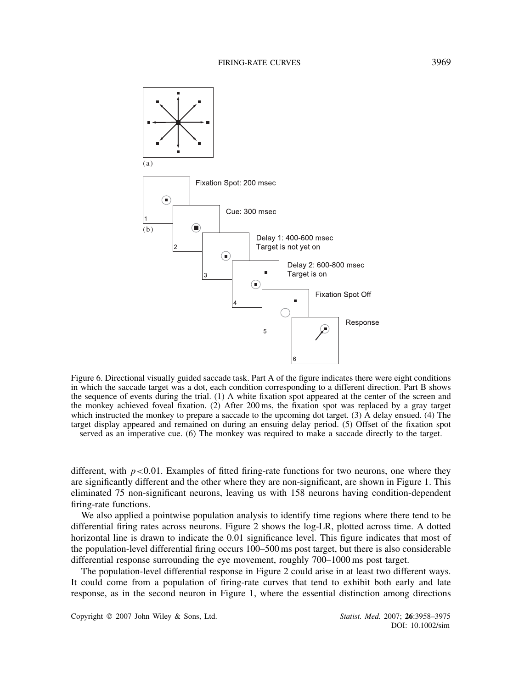

Figure 6. Directional visually guided saccade task. Part A of the figure indicates there were eight conditions in which the saccade target was a dot, each condition corresponding to a different direction. Part B shows the sequence of events during the trial. (1) A white fixation spot appeared at the center of the screen and the monkey achieved foveal fixation. (2) After 200 ms, the fixation spot was replaced by a gray target which instructed the monkey to prepare a saccade to the upcoming dot target. (3) A delay ensued. (4) The target display appeared and remained on during an ensuing delay period. (5) Offset of the fixation spot served as an imperative cue. (6) The monkey was required to make a saccade directly to the target.

different, with  $p < 0.01$ . Examples of fitted firing-rate functions for two neurons, one where they are significantly different and the other where they are non-significant, are shown in Figure 1. This eliminated 75 non-significant neurons, leaving us with 158 neurons having condition-dependent firing-rate functions.

We also applied a pointwise population analysis to identify time regions where there tend to be differential firing rates across neurons. Figure 2 shows the log-LR, plotted across time. A dotted horizontal line is drawn to indicate the 0.01 significance level. This figure indicates that most of the population-level differential firing occurs 100–500 ms post target, but there is also considerable differential response surrounding the eye movement, roughly 700–1000 ms post target.

The population-level differential response in Figure 2 could arise in at least two different ways. It could come from a population of firing-rate curves that tend to exhibit both early and late response, as in the second neuron in Figure 1, where the essential distinction among directions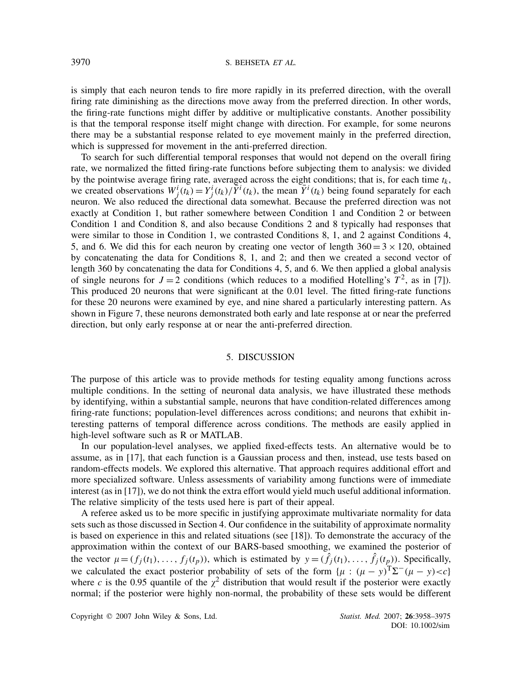is simply that each neuron tends to fire more rapidly in its preferred direction, with the overall firing rate diminishing as the directions move away from the preferred direction. In other words, the firing-rate functions might differ by additive or multiplicative constants. Another possibility is that the temporal response itself might change with direction. For example, for some neurons there may be a substantial response related to eye movement mainly in the preferred direction, which is suppressed for movement in the anti-preferred direction.

To search for such differential temporal responses that would not depend on the overall firing rate, we normalized the fitted firing-rate functions before subjecting them to analysis: we divided by the pointwise average firing rate, averaged across the eight conditions; that is, for each time  $t_k$ , we created observations  $W^i_j(t_k) = Y^i_j(t_k)/\overline{Y}^i(t_k)$ , the mean  $\overline{Y}^i(t_k)$  being found separately for each neuron. We also reduced the directional data somewhat. Because the preferred direction was not exactly at Condition 1, but rather somewhere between Condition 1 and Condition 2 or between Condition 1 and Condition 8, and also because Conditions 2 and 8 typically had responses that were similar to those in Condition 1, we contrasted Conditions 8, 1, and 2 against Conditions 4, 5, and 6. We did this for each neuron by creating one vector of length  $360 = 3 \times 120$ , obtained by concatenating the data for Conditions 8, 1, and 2; and then we created a second vector of length 360 by concatenating the data for Conditions 4, 5, and 6. We then applied a global analysis of single neurons for  $J = 2$  conditions (which reduces to a modified Hotelling's  $T^2$ , as in [7]). This produced 20 neurons that were significant at the 0.01 level. The fitted firing-rate functions for these 20 neurons were examined by eye, and nine shared a particularly interesting pattern. As shown in Figure 7, these neurons demonstrated both early and late response at or near the preferred direction, but only early response at or near the anti-preferred direction.

#### 5. DISCUSSION

The purpose of this article was to provide methods for testing equality among functions across multiple conditions. In the setting of neuronal data analysis, we have illustrated these methods by identifying, within a substantial sample, neurons that have condition-related differences among firing-rate functions; population-level differences across conditions; and neurons that exhibit interesting patterns of temporal difference across conditions. The methods are easily applied in high-level software such as R or MATLAB.

In our population-level analyses, we applied fixed-effects tests. An alternative would be to assume, as in [17], that each function is a Gaussian process and then, instead, use tests based on random-effects models. We explored this alternative. That approach requires additional effort and more specialized software. Unless assessments of variability among functions were of immediate interest (as in [17]), we do not think the extra effort would yield much useful additional information. The relative simplicity of the tests used here is part of their appeal.

A referee asked us to be more specific in justifying approximate multivariate normality for data sets such as those discussed in Section 4. Our confidence in the suitability of approximate normality is based on experience in this and related situations (see [18]). To demonstrate the accuracy of the approximation within the context of our BARS-based smoothing, we examined the posterior of the vector  $\mu = (f_i(t_1), \ldots, f_i(t_p))$ , which is estimated by  $y = (\hat{f}_i(t_1), \ldots, \hat{f}_i(t_p))$ . Specifically, we calculated the exact posterior probability of sets of the form  $\{\mu : (\mu - y)^T \Sigma^-(\mu - y) < c\}$ where *c* is the 0.95 quantile of the  $\chi^2$  distribution that would result if the posterior were exactly normal; if the posterior were highly non-normal, the probability of these sets would be different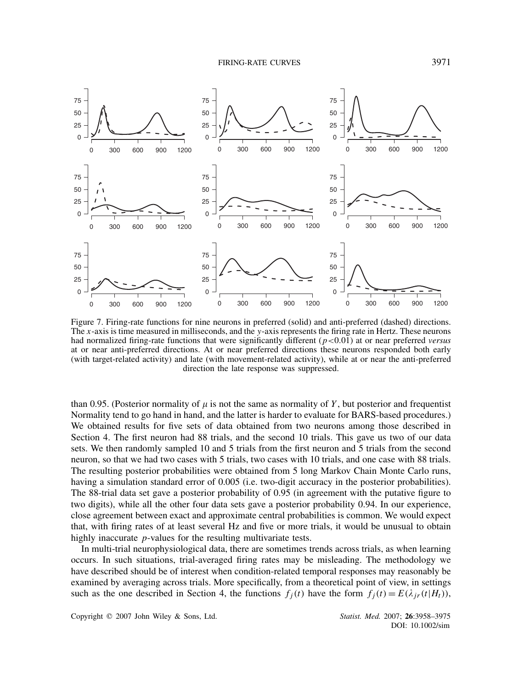FIRING-RATE CURVES 3971



Figure 7. Firing-rate functions for nine neurons in preferred (solid) and anti-preferred (dashed) directions. The *x*-axis is time measured in milliseconds, and the *y*-axis represents the firing rate in Hertz. These neurons had normalized firing-rate functions that were significantly different (*p<*0*.*01) at or near preferred *versus* at or near anti-preferred directions. At or near preferred directions these neurons responded both early (with target-related activity) and late (with movement-related activity), while at or near the anti-preferred direction the late response was suppressed.

than 0.95. (Posterior normality of  $\mu$  is not the same as normality of *Y*, but posterior and frequentist Normality tend to go hand in hand, and the latter is harder to evaluate for BARS-based procedures.) We obtained results for five sets of data obtained from two neurons among those described in Section 4. The first neuron had 88 trials, and the second 10 trials. This gave us two of our data sets. We then randomly sampled 10 and 5 trials from the first neuron and 5 trials from the second neuron, so that we had two cases with 5 trials, two cases with 10 trials, and one case with 88 trials. The resulting posterior probabilities were obtained from 5 long Markov Chain Monte Carlo runs, having a simulation standard error of 0.005 (i.e. two-digit accuracy in the posterior probabilities). The 88-trial data set gave a posterior probability of 0.95 (in agreement with the putative figure to two digits), while all the other four data sets gave a posterior probability 0.94. In our experience, close agreement between exact and approximate central probabilities is common. We would expect that, with firing rates of at least several Hz and five or more trials, it would be unusual to obtain highly inaccurate *p*-values for the resulting multivariate tests.

In multi-trial neurophysiological data, there are sometimes trends across trials, as when learning occurs. In such situations, trial-averaged firing rates may be misleading. The methodology we have described should be of interest when condition-related temporal responses may reasonably be examined by averaging across trials. More specifically, from a theoretical point of view, in settings such as the one described in Section 4, the functions  $f_i(t)$  have the form  $f_i(t) = E(\lambda_{ir}(t|H_t))$ ,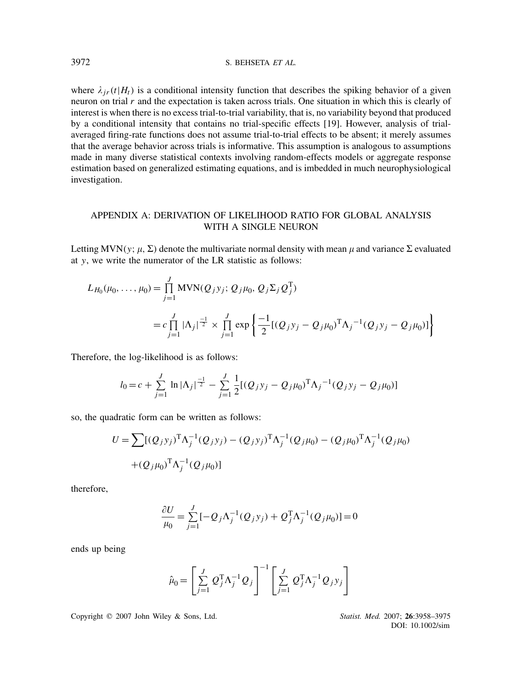where  $\lambda_{ir}(t|H_t)$  is a conditional intensity function that describes the spiking behavior of a given neuron on trial  $r$  and the expectation is taken across trials. One situation in which this is clearly of interest is when there is no excess trial-to-trial variability, that is, no variability beyond that produced by a conditional intensity that contains no trial-specific effects [19]. However, analysis of trialaveraged firing-rate functions does not assume trial-to-trial effects to be absent; it merely assumes that the average behavior across trials is informative. This assumption is analogous to assumptions made in many diverse statistical contexts involving random-effects models or aggregate response estimation based on generalized estimating equations, and is imbedded in much neurophysiological investigation.

## APPENDIX A: DERIVATION OF LIKELIHOOD RATIO FOR GLOBAL ANALYSIS WITH A SINGLE NEURON

Letting MVN(*y*;  $\mu$ ,  $\Sigma$ ) denote the multivariate normal density with mean  $\mu$  and variance  $\Sigma$  evaluated at *y*, we write the numerator of the LR statistic as follows:

$$
L_{H_0}(\mu_0, ..., \mu_0) = \prod_{j=1}^J MVN(Q_jy_j; Q_j\mu_0, Q_j\Sigma_jQ_j^T)
$$
  
=  $c \prod_{j=1}^J |\Lambda_j|^{\frac{-1}{2}} \times \prod_{j=1}^J \exp \left\{ \frac{-1}{2} [(Q_jy_j - Q_j\mu_0)^T \Lambda_j^{-1} (Q_jy_j - Q_j\mu_0)] \right\}$ 

Therefore, the log-likelihood is as follows:

$$
l_0 = c + \sum_{j=1}^{J} \ln |\Lambda_j|^{\frac{-1}{2}} - \sum_{j=1}^{J} \frac{1}{2} [ (Q_j y_j - Q_j \mu_0)^{\mathrm{T}} \Lambda_j^{-1} (Q_j y_j - Q_j \mu_0) ]
$$

so, the quadratic form can be written as follows:

$$
U = \sum [(Q_j y_j)^T \Lambda_j^{-1} (Q_j y_j) - (Q_j y_j)^T \Lambda_j^{-1} (Q_j \mu_0) - (Q_j \mu_0)^T \Lambda_j^{-1} (Q_j \mu_0) + (Q_j \mu_0)^T \Lambda_j^{-1} (Q_j \mu_0)]
$$

therefore,

$$
\frac{\partial U}{\mu_0} = \sum_{j=1}^{J} [-Q_j \Lambda_j^{-1} (Q_j y_j) + Q_j^{\mathrm{T}} \Lambda_j^{-1} (Q_j \mu_0)] = 0
$$

ends up being

$$
\hat{\mu}_0 = \left[ \sum_{j=1}^J Q_j^{\mathrm{T}} \Lambda_j^{-1} Q_j \right]^{-1} \left[ \sum_{j=1}^J Q_j^{\mathrm{T}} \Lambda_j^{-1} Q_j y_j \right]
$$

Copyright q 2007 John Wiley & Sons, Ltd. *Statist. Med.* 2007; **26**:3958–3975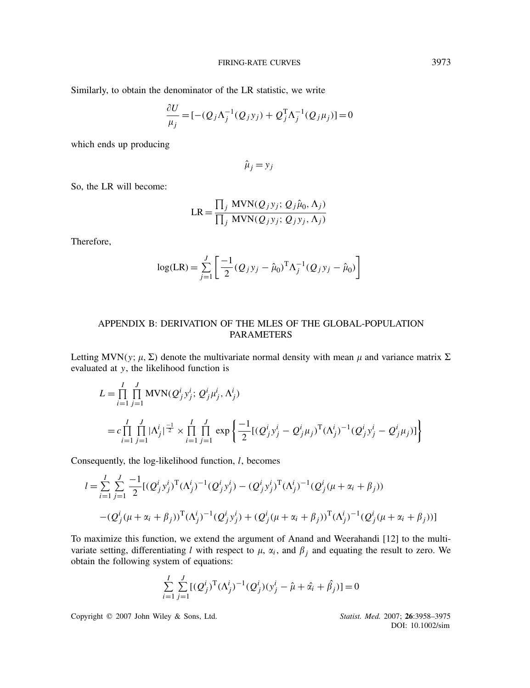Similarly, to obtain the denominator of the LR statistic, we write

$$
\frac{\partial U}{\mu_j} = [-(Q_j \Lambda_j^{-1} (Q_j y_j) + Q_j^{\mathrm{T}} \Lambda_j^{-1} (Q_j \mu_j)] = 0
$$

which ends up producing

 $\hat{\mu}_j = y_j$ 

So, the LR will become:

$$
LR = \frac{\prod_j MVN(Q_jy_j; Q_j\hat{\mu}_0, \Lambda_j)}{\prod_j MVN(Q_jy_j; Q_jy_j, \Lambda_j)}
$$

Therefore,

$$
\log(\text{LR}) = \sum_{j=1}^{J} \left[ \frac{-1}{2} (Q_j y_j - \hat{\mu}_0)^{\text{T}} \Lambda_j^{-1} (Q_j y_j - \hat{\mu}_0) \right]
$$

## APPENDIX B: DERIVATION OF THE MLES OF THE GLOBAL-POPULATION PARAMETERS

Letting MVN(*y*;  $\mu$ ,  $\Sigma$ ) denote the multivariate normal density with mean  $\mu$  and variance matrix  $\Sigma$ evaluated at *y*, the likelihood function is

$$
L = \prod_{i=1}^{I} \prod_{j=1}^{J} MVN(Q_j^i y_j^i; Q_j^i \mu_j^i, \Lambda_j^i)
$$
  
=  $c \prod_{i=1}^{I} \prod_{j=1}^{J} |\Lambda_j^i|^{-\frac{1}{2}} \times \prod_{i=1}^{I} \prod_{j=1}^{J} \exp \left\{ \frac{-1}{2} [ (Q_j^i y_j^i - Q_j^i \mu_j)^T (\Lambda_j^i)^{-1} (Q_j^i y_j^i - Q_j^i \mu_j) ] \right\}$ 

Consequently, the log-likelihood function, *l*, becomes

$$
l = \sum_{i=1}^{I} \sum_{j=1}^{J} \frac{-1}{2} [(\mathcal{Q}_j^i y_j^i)^T (\Lambda_j^i)^{-1} (\mathcal{Q}_j^i y_j^i) - (\mathcal{Q}_j^i y_j^i)^T (\Lambda_j^i)^{-1} (\mathcal{Q}_j^i (\mu + \alpha_i + \beta_j))
$$
  
- $(\mathcal{Q}_j^i (\mu + \alpha_i + \beta_j))^T (\Lambda_j^i)^{-1} (\mathcal{Q}_j^i y_j^i) + (\mathcal{Q}_j^i (\mu + \alpha_i + \beta_j))^T (\Lambda_j^i)^{-1} (\mathcal{Q}_j^i (\mu + \alpha_i + \beta_j))]$ 

To maximize this function, we extend the argument of Anand and Weerahandi [12] to the multivariate setting, differentiating *l* with respect to  $\mu$ ,  $\alpha$ <sub>*i*</sub>, and  $\beta$ <sub>*j*</sub> and equating the result to zero. We obtain the following system of equations:

$$
\sum_{i=1}^{I} \sum_{j=1}^{J} [ (Q_j^i)^{\text{T}} (\Lambda_j^i)^{-1} (Q_j^i) (y_j^i - \hat{\mu} + \hat{\alpha}_i + \hat{\beta}_j) ] = 0
$$

Copyright q 2007 John Wiley & Sons, Ltd. *Statist. Med.* 2007; **26**:3958–3975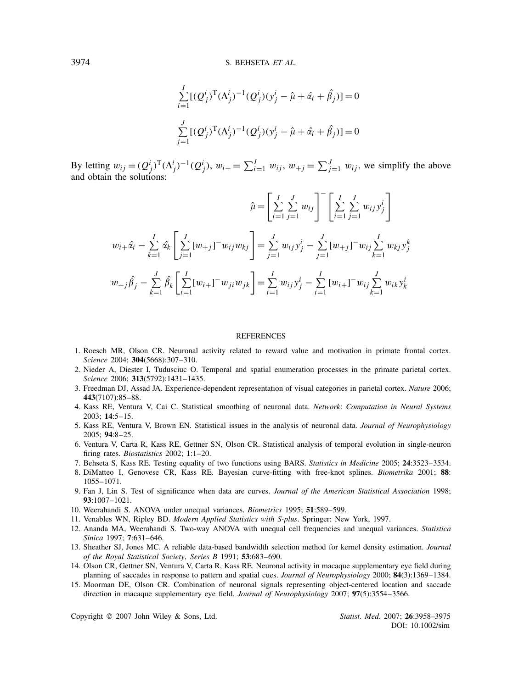$$
\sum_{i=1}^{I} [(\mathcal{Q}_j^i)^{\mathrm{T}} (\Lambda_j^i)^{-1} (\mathcal{Q}_j^i) (y_j^i - \hat{\mu} + \hat{\alpha}_i + \hat{\beta}_j)] = 0
$$
  

$$
\sum_{j=1}^{J} [(\mathcal{Q}_j^i)^{\mathrm{T}} (\Lambda_j^i)^{-1} (\mathcal{Q}_j^i) (y_j^i - \hat{\mu} + \hat{\alpha}_i + \hat{\beta}_j)] = 0
$$

By letting  $w_{ij} = (Q^i_j)^T (\Lambda^i_j)^{-1} (Q^i_j)$ ,  $w_{i+} = \sum_{i=1}^I w_{ij}$ ,  $w_{+j} = \sum_{j=1}^J w_{ij}$ , we simplify the above and obtain the solutions:

$$
\hat{\mu} = \left[ \sum_{i=1}^{I} \sum_{j=1}^{J} w_{ij} \right]^{-} \left[ \sum_{i=1}^{I} \sum_{j=1}^{J} w_{ij} y_{j}^{i} \right]
$$
  

$$
w_{i+} \hat{\alpha}_{i} - \sum_{k=1}^{I} \hat{\alpha}_{k} \left[ \sum_{j=1}^{J} [w_{+j}]^{-} w_{ij} w_{kj} \right] = \sum_{j=1}^{J} w_{ij} y_{j}^{i} - \sum_{j=1}^{J} [w_{+j}]^{-} w_{ij} \sum_{k=1}^{I} w_{kj} y_{j}^{k}
$$
  

$$
w_{+j} \hat{\beta}_{j} - \sum_{k=1}^{J} \hat{\beta}_{k} \left[ \sum_{i=1}^{I} [w_{i+1}]^{-} w_{ji} w_{jk} \right] = \sum_{i=1}^{I} w_{ij} y_{j}^{i} - \sum_{i=1}^{I} [w_{i+1}]^{-} w_{ij} \sum_{k=1}^{J} w_{ik} y_{k}^{i}
$$

#### **REFERENCES**

- 1. Roesch MR, Olson CR. Neuronal activity related to reward value and motivation in primate frontal cortex. *Science* 2004; **304**(5668):307–310.
- 2. Nieder A, Diester I, Tudusciuc O. Temporal and spatial enumeration processes in the primate parietal cortex. *Science* 2006; **313**(5792):1431–1435.
- 3. Freedman DJ, Assad JA. Experience-dependent representation of visual categories in parietal cortex. *Nature* 2006; **443**(7107):85–88.
- 4. Kass RE, Ventura V, Cai C. Statistical smoothing of neuronal data. *Network*: *Computation in Neural Systems* 2003; **14**:5–15.
- 5. Kass RE, Ventura V, Brown EN. Statistical issues in the analysis of neuronal data. *Journal of Neurophysiology* 2005; **94**:8–25.
- 6. Ventura V, Carta R, Kass RE, Gettner SN, Olson CR. Statistical analysis of temporal evolution in single-neuron firing rates. *Biostatistics* 2002; **1**:1–20.
- 7. Behseta S, Kass RE. Testing equality of two functions using BARS. *Statistics in Medicine* 2005; **24**:3523–3534.
- 8. DiMatteo I, Genovese CR, Kass RE. Bayesian curve-fitting with free-knot splines. *Biometrika* 2001; **88**: 1055–1071.
- 9. Fan J, Lin S. Test of significance when data are curves. *Journal of the American Statistical Association* 1998; **93**:1007–1021.
- 10. Weerahandi S. ANOVA under unequal variances. *Biometrics* 1995; **51**:589–599.
- 11. Venables WN, Ripley BD. *Modern Applied Statistics with S-plus*. Springer: New York, 1997.
- 12. Ananda MA, Weerahandi S. Two-way ANOVA with unequal cell frequencies and unequal variances. *Statistica Sinica* 1997; **7**:631–646.
- 13. Sheather SJ, Jones MC. A reliable data-based bandwidth selection method for kernel density estimation. *Journal of the Royal Statistical Society, Series B* 1991; **53**:683–690.
- 14. Olson CR, Gettner SN, Ventura V, Carta R, Kass RE. Neuronal activity in macaque supplementary eye field during planning of saccades in response to pattern and spatial cues. *Journal of Neurophysiology* 2000; **84**(3):1369–1384.
- 15. Moorman DE, Olson CR. Combination of neuronal signals representing object-centered location and saccade direction in macaque supplementary eye field. *Journal of Neurophysiology* 2007; **97**(5):3554–3566.

Copyright q 2007 John Wiley & Sons, Ltd. *Statist. Med.* 2007; **26**:3958–3975